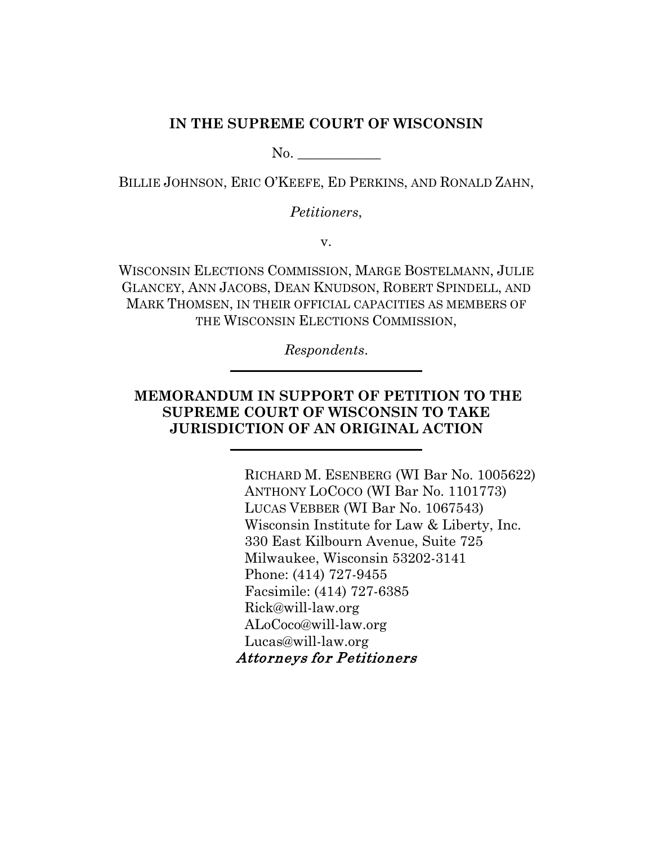### **IN THE SUPREME COURT OF WISCONSIN**

No. \_\_\_\_\_\_\_\_\_\_\_\_

BILLIE JOHNSON, ERIC O'KEEFE, ED PERKINS, AND RONALD ZAHN,

*Petitioners*,

v.

WISCONSIN ELECTIONS COMMISSION, MARGE BOSTELMANN, JULIE GLANCEY, ANN JACOBS, DEAN KNUDSON, ROBERT SPINDELL, AND MARK THOMSEN, IN THEIR OFFICIAL CAPACITIES AS MEMBERS OF THE WISCONSIN ELECTIONS COMMISSION,

*Respondents*.

# **MEMORANDUM IN SUPPORT OF PETITION TO THE SUPREME COURT OF WISCONSIN TO TAKE JURISDICTION OF AN ORIGINAL ACTION**

RICHARD M. ESENBERG (WI Bar No. 1005622) ANTHONY LOCOCO (WI Bar No. 1101773) LUCAS VEBBER (WI Bar No. 1067543) Wisconsin Institute for Law & Liberty, Inc. 330 East Kilbourn Avenue, Suite 725 Milwaukee, Wisconsin 53202-3141 Phone: (414) 727-9455 Facsimile: (414) 727-6385 Rick@will-law.org ALoCoco@will-law.org Lucas@will-law.org Attorneys for Petitioners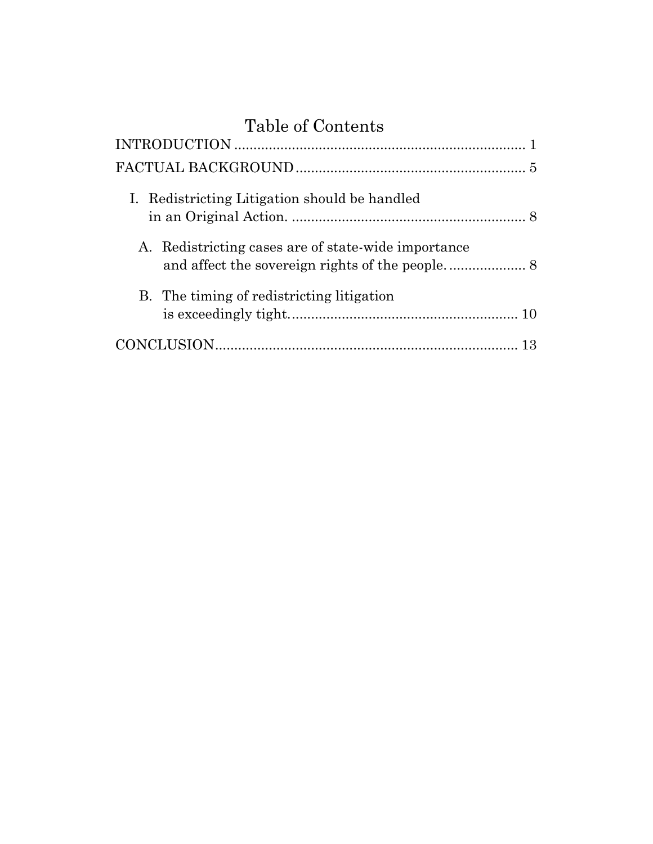# Table of Contents

| I. Redistricting Litigation should be handled       |  |
|-----------------------------------------------------|--|
| A. Redistricting cases are of state-wide importance |  |
| B. The timing of redistricting litigation           |  |
|                                                     |  |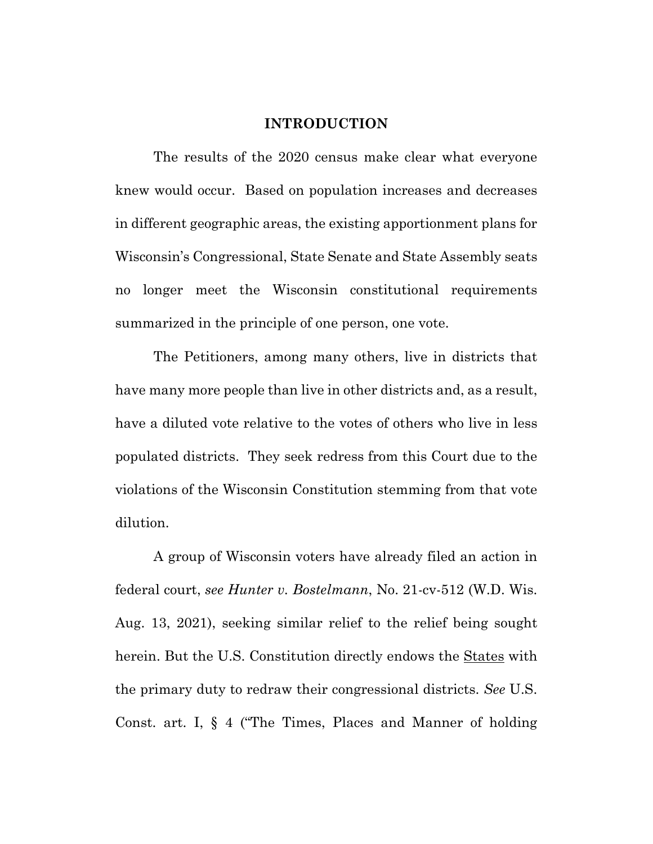#### **INTRODUCTION**

<span id="page-2-0"></span>The results of the 2020 census make clear what everyone knew would occur. Based on population increases and decreases in different geographic areas, the existing apportionment plans for Wisconsin's Congressional, State Senate and State Assembly seats no longer meet the Wisconsin constitutional requirements summarized in the principle of one person, one vote.

The Petitioners, among many others, live in districts that have many more people than live in other districts and, as a result, have a diluted vote relative to the votes of others who live in less populated districts. They seek redress from this Court due to the violations of the Wisconsin Constitution stemming from that vote dilution.

A group of Wisconsin voters have already filed an action in federal court, *see Hunter v. Bostelmann*, No. 21-cv-512 (W.D. Wis. Aug. 13, 2021), seeking similar relief to the relief being sought herein. But the U.S. Constitution directly endows the States with the primary duty to redraw their congressional districts. *See* U.S. Const. art. I, § 4 ("The Times, Places and Manner of holding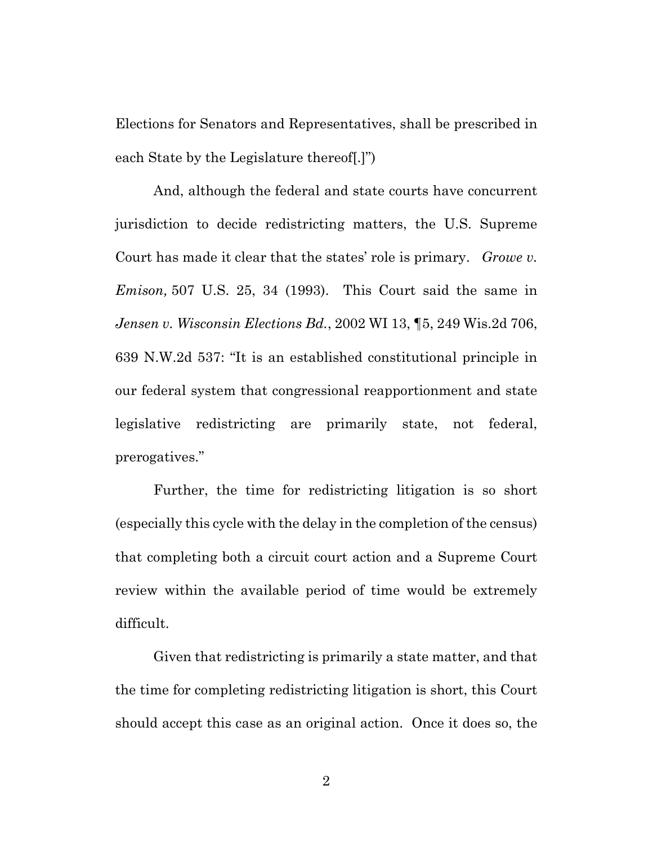Elections for Senators and Representatives, shall be prescribed in each State by the Legislature thereof[.]")

And, although the federal and state courts have concurrent jurisdiction to decide redistricting matters, the U.S. Supreme Court has made it clear that the states' role is primary. *Growe v. Emison,* 507 U.S. 25, 34 (1993). This Court said the same in *Jensen v. Wisconsin Elections Bd.*, 2002 WI 13, ¶5, 249 Wis.2d 706, 639 N.W.2d 537: "It is an established constitutional principle in our federal system that congressional reapportionment and state legislative redistricting are primarily state, not federal, prerogatives."

Further, the time for redistricting litigation is so short (especially this cycle with the delay in the completion of the census) that completing both a circuit court action and a Supreme Court review within the available period of time would be extremely difficult.

Given that redistricting is primarily a state matter, and that the time for completing redistricting litigation is short, this Court should accept this case as an original action. Once it does so, the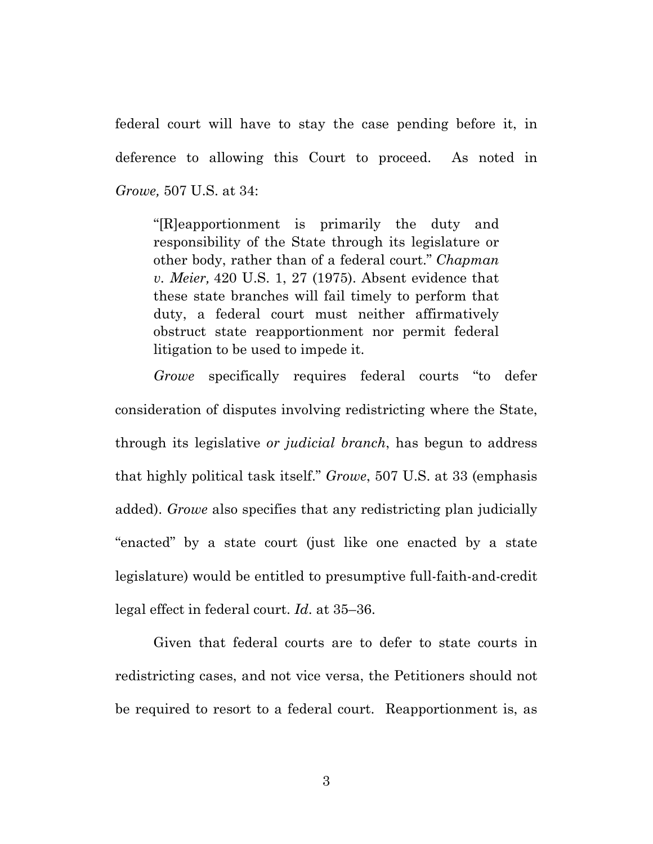federal court will have to stay the case pending before it, in deference to allowing this Court to proceed. As noted in *Growe,* 507 U.S. at 34:

"[R]eapportionment is primarily the duty and responsibility of the State through its legislature or other body, rather than of a federal court." *Chapman v. Meier,* 420 U.S. 1, 27 (1975). Absent evidence that these state branches will fail timely to perform that duty, a federal court must neither affirmatively obstruct state reapportionment nor permit federal litigation to be used to impede it.

*Growe* specifically requires federal courts "to defer consideration of disputes involving redistricting where the State, through its legislative *or judicial branch*, has begun to address that highly political task itself." *Growe*, 507 U.S. at 33 (emphasis added). *Growe* also specifies that any redistricting plan judicially "enacted" by a state court (just like one enacted by a state legislature) would be entitled to presumptive full-faith-and-credit legal effect in federal court. *Id*. at 35–36.

Given that federal courts are to defer to state courts in redistricting cases, and not vice versa, the Petitioners should not be required to resort to a federal court. Reapportionment is, as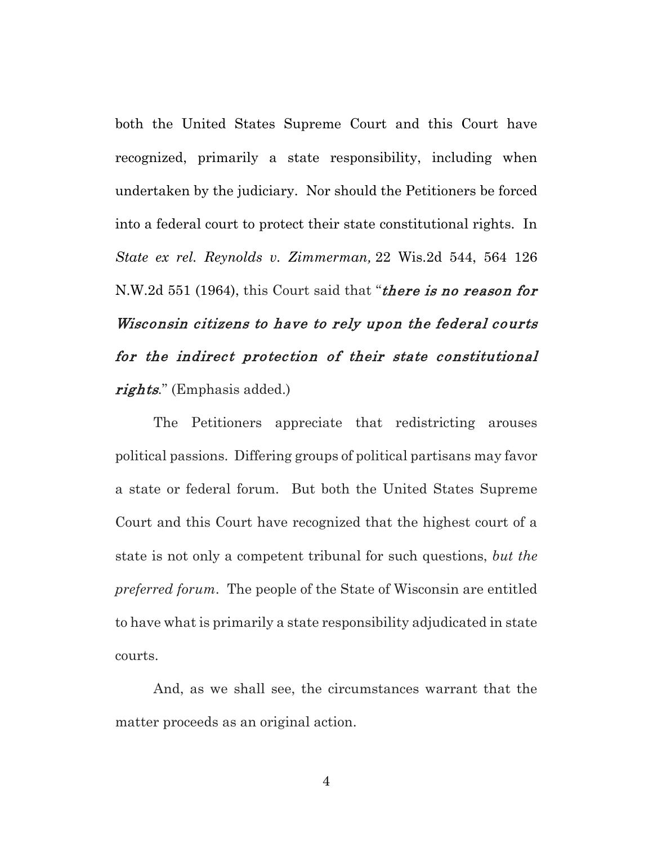both the United States Supreme Court and this Court have recognized, primarily a state responsibility, including when undertaken by the judiciary. Nor should the Petitioners be forced into a federal court to protect their state constitutional rights. In *[State ex rel. Reynolds v. Zimmerman,](https://1.next.westlaw.com/Link/Document/FullText?findType=Y&serNum=1964135222&pubNum=0000595&originatingDoc=I0e27e701ff2111d99439b076ef9ec4de&refType=RP&originationContext=document&transitionType=DocumentItem&contextData=(sc.Default))* [22 Wis.2d 544, 564 126](https://1.next.westlaw.com/Link/Document/FullText?findType=Y&serNum=1964135222&pubNum=0000595&originatingDoc=I0e27e701ff2111d99439b076ef9ec4de&refType=RP&originationContext=document&transitionType=DocumentItem&contextData=(sc.Default))  [N.W.2d 551](https://1.next.westlaw.com/Link/Document/FullText?findType=Y&serNum=1964135222&pubNum=0000595&originatingDoc=I0e27e701ff2111d99439b076ef9ec4de&refType=RP&originationContext=document&transitionType=DocumentItem&contextData=(sc.Default)) (1964), this Court said that "*there is no reason for* Wisconsin citizens to have to rely upon the federal courts for the indirect protection of their state constitutional rights*.*" (Emphasis added.)

The Petitioners appreciate that redistricting arouses political passions. Differing groups of political partisans may favor a state or federal forum. But both the United States Supreme Court and this Court have recognized that the highest court of a state is not only a competent tribunal for such questions, *but the preferred forum*. The people of the State of Wisconsin are entitled to have what is primarily a state responsibility adjudicated in state courts.

And, as we shall see, the circumstances warrant that the matter proceeds as an original action.

4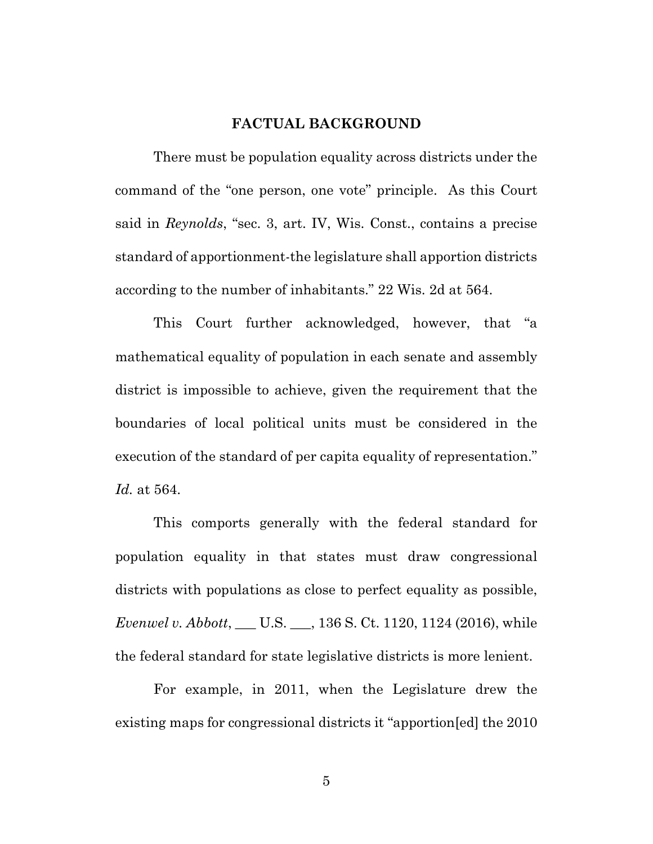#### **FACTUAL BACKGROUND**

<span id="page-6-0"></span>There must be population equality across districts under the command of the "one person, one vote" principle. As this Court said in *Reynolds*, "sec. 3, art. IV, Wis. Const., contains a precise standard of apportionment-the legislature shall apportion districts according to the number of inhabitants." 22 Wis. 2d at 564.

This Court further acknowledged, however, that "a mathematical equality of population in each senate and assembly district is impossible to achieve, given the requirement that the boundaries of local political units must be considered in the execution of the standard of per capita equality of representation." *Id.* at 564.

This comports generally with the federal standard for population equality in that states must draw congressional districts with populations as close to perfect equality as possible, *Evenwel v. Abbott*, \_\_\_ U.S. \_\_\_, 136 S. Ct. 1120, 1124 (2016), while the federal standard for state legislative districts is more lenient.

For example, in 2011, when the Legislature drew the existing maps for congressional districts it "apportion[ed] the 2010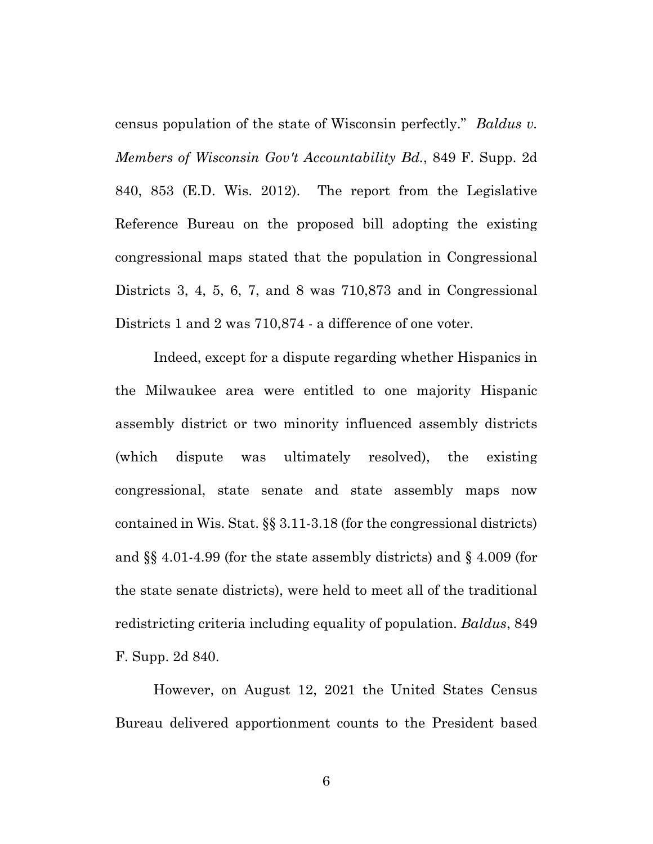census population of the state of Wisconsin perfectly." *Baldus v. Members of Wisconsin Gov't Accountability Bd.*, 849 F. Supp. 2d 840, 853 (E.D. Wis. 2012). The report from the Legislative Reference Bureau on the proposed bill adopting the existing congressional maps stated that the population in Congressional Districts 3, 4, 5, 6, 7, and 8 was 710,873 and in Congressional Districts 1 and 2 was 710,874 - a difference of one voter.

Indeed, except for a dispute regarding whether Hispanics in the Milwaukee area were entitled to one majority Hispanic assembly district or two minority influenced assembly districts (which dispute was ultimately resolved), the existing congressional, state senate and state assembly maps now contained in Wis. Stat. §§ 3.11-3.18 (for the congressional districts) and §§ 4.01-4.99 (for the state assembly districts) and § 4.009 (for the state senate districts), were held to meet all of the traditional redistricting criteria including equality of population. *Baldus*, 849 F. Supp. 2d 840.

However, on August 12, 2021 the United States Census Bureau delivered apportionment counts to the President based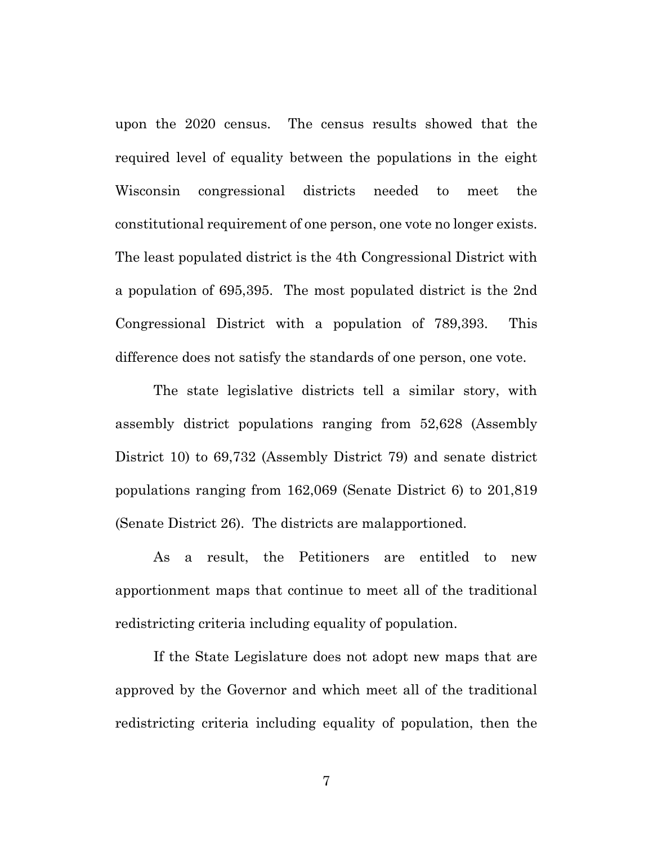upon the 2020 census. The census results showed that the required level of equality between the populations in the eight Wisconsin congressional districts needed to meet the constitutional requirement of one person, one vote no longer exists. The least populated district is the 4th Congressional District with a population of 695,395. The most populated district is the 2nd Congressional District with a population of 789,393. This difference does not satisfy the standards of one person, one vote.

The state legislative districts tell a similar story, with assembly district populations ranging from 52,628 (Assembly District 10) to 69,732 (Assembly District 79) and senate district populations ranging from 162,069 (Senate District 6) to 201,819 (Senate District 26). The districts are malapportioned.

As a result, the Petitioners are entitled to new apportionment maps that continue to meet all of the traditional redistricting criteria including equality of population.

If the State Legislature does not adopt new maps that are approved by the Governor and which meet all of the traditional redistricting criteria including equality of population, then the

7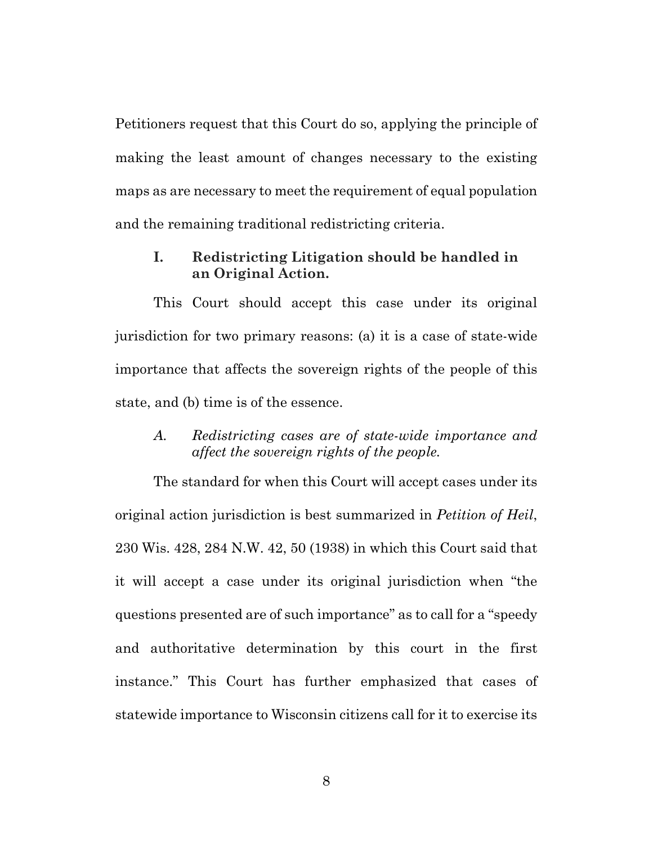Petitioners request that this Court do so, applying the principle of making the least amount of changes necessary to the existing maps as are necessary to meet the requirement of equal population and the remaining traditional redistricting criteria.

## <span id="page-9-0"></span>**I. Redistricting Litigation should be handled in an Original Action.**

This Court should accept this case under its original jurisdiction for two primary reasons: (a) it is a case of state-wide importance that affects the sovereign rights of the people of this state, and (b) time is of the essence.

## <span id="page-9-1"></span>*A. Redistricting cases are of state-wide importance and affect the sovereign rights of the people.*

The standard for when this Court will accept cases under its original action jurisdiction is best summarized in *Petition of Heil*, 230 Wis. 428, 284 N.W. 42, 50 (1938) in which this Court said that it will accept a case under its original jurisdiction when "the questions presented are of such importance" as to call for a "speedy and authoritative determination by this court in the first instance." This Court has further emphasized that cases of statewide importance to Wisconsin citizens call for it to exercise its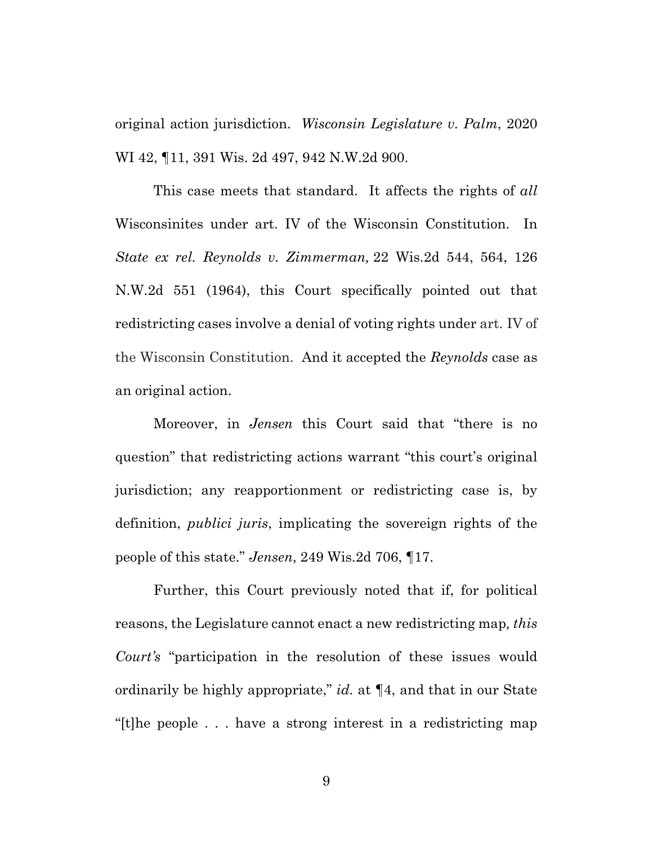original action jurisdiction. *Wisconsin Legislature v. Palm*, 2020 WI 42, ¶11, 391 Wis. 2d 497, 942 N.W.2d 900.

This case meets that standard. It affects the rights of *all* Wisconsinites under art. IV of the Wisconsin Constitution. In *[State ex rel. Reynolds v. Zimmerman,](https://1.next.westlaw.com/Link/Document/FullText?findType=Y&serNum=1964135222&pubNum=0000595&originatingDoc=I0e27e701ff2111d99439b076ef9ec4de&refType=RP&originationContext=document&transitionType=DocumentItem&contextData=(sc.Default))* 22 Wis.2d 544, 564, [126](https://1.next.westlaw.com/Link/Document/FullText?findType=Y&serNum=1964135222&pubNum=0000595&originatingDoc=I0e27e701ff2111d99439b076ef9ec4de&refType=RP&originationContext=document&transitionType=DocumentItem&contextData=(sc.Default))  [N.W.2d 551](https://1.next.westlaw.com/Link/Document/FullText?findType=Y&serNum=1964135222&pubNum=0000595&originatingDoc=I0e27e701ff2111d99439b076ef9ec4de&refType=RP&originationContext=document&transitionType=DocumentItem&contextData=(sc.Default)) (1964), this Court specifically pointed out that redistricting cases involve a denial of voting rights under art. IV of the Wisconsin Constitution. And it accepted the *Reynolds* case as an original action.

Moreover, in *Jensen* this Court said that "there is no question" that redistricting actions warrant "this court's original jurisdiction; any reapportionment or redistricting case is, by definition, *publici juris*, implicating the sovereign rights of the people of this state." *Jensen*, 249 Wis.2d 706, ¶17.

Further, this Court previously noted that if, for political reasons, the Legislature cannot enact a new redistricting map*, this Court's* "participation in the resolution of these issues would ordinarily be highly appropriate," *id.* at ¶4, and that in our State "[t]he people . . . have a strong interest in a redistricting map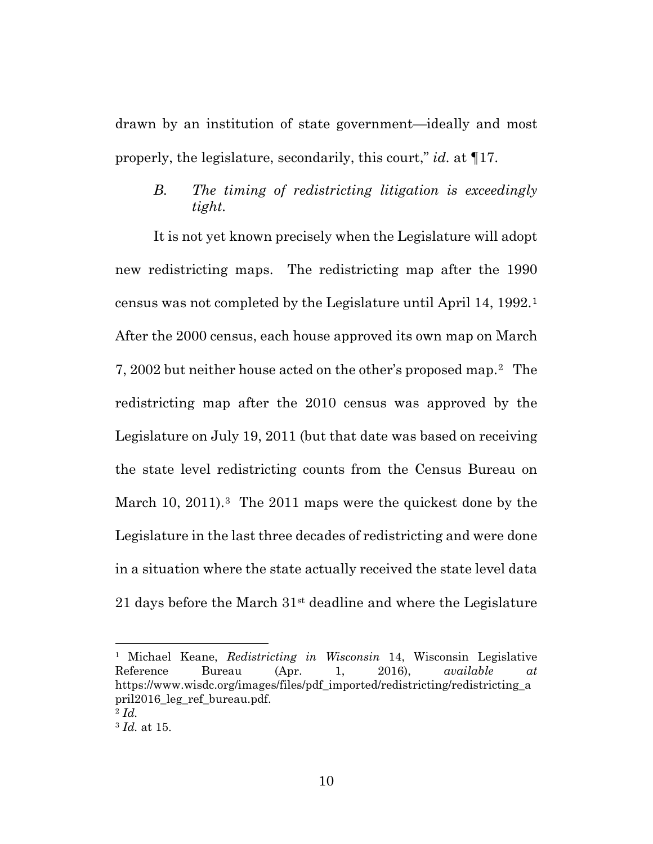drawn by an institution of state government—ideally and most properly, the legislature, secondarily, this court," *id.* at ¶17.

# <span id="page-11-0"></span>*B. The timing of redistricting litigation is exceedingly tight.*

It is not yet known precisely when the Legislature will adopt new redistricting maps. The redistricting map after the 1990 census was not completed by the Legislature until April 14, 1992.[1](#page-11-1) After the 2000 census, each house approved its own map on March 7, 2002 but neither house acted on the other's proposed map.[2](#page-11-2) The redistricting map after the 2010 census was approved by the Legislature on July 19, 2011 (but that date was based on receiving the state level redistricting counts from the Census Bureau on March 10, 2011).<sup>3</sup> The 2011 maps were the quickest done by the Legislature in the last three decades of redistricting and were done in a situation where the state actually received the state level data 21 days before the March  $31<sup>st</sup>$  deadline and where the Legislature

<span id="page-11-1"></span><sup>1</sup> Michael Keane, *Redistricting in Wisconsin* 14, Wisconsin Legislative Reference Bureau (Apr. 1, 2016), *available at* https://www.wisdc.org/images/files/pdf\_imported/redistricting/redistricting\_a pril2016\_leg\_ref\_bureau.pdf.

<span id="page-11-2"></span><sup>2</sup> *Id.*

<span id="page-11-3"></span><sup>3</sup> *Id.* at 15.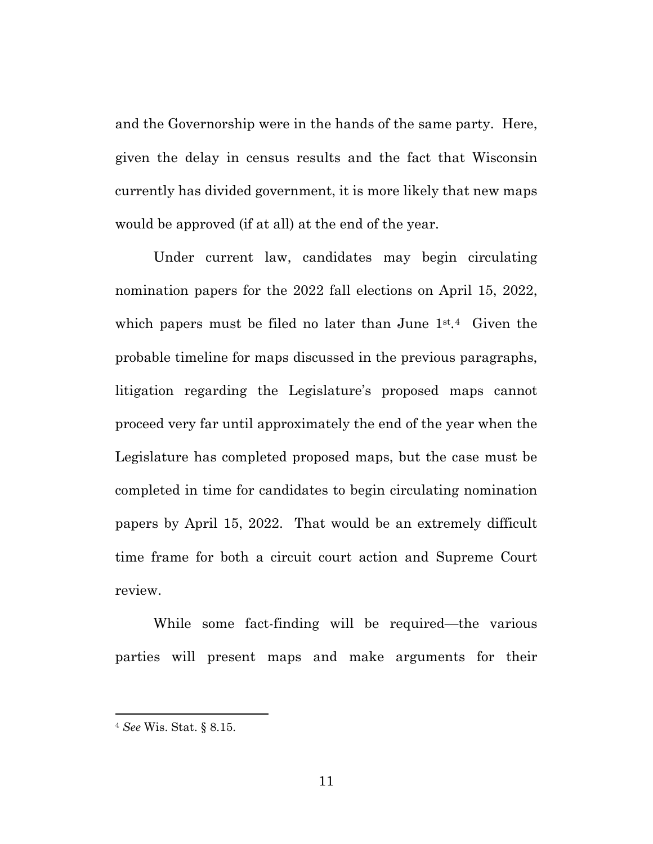and the Governorship were in the hands of the same party. Here, given the delay in census results and the fact that Wisconsin currently has divided government, it is more likely that new maps would be approved (if at all) at the end of the year.

Under current law, candidates may begin circulating nomination papers for the 2022 fall elections on April 15, 2022, which papers must be filed no later than June 1<sup>st.[4](#page-12-0)</sup> Given the probable timeline for maps discussed in the previous paragraphs, litigation regarding the Legislature's proposed maps cannot proceed very far until approximately the end of the year when the Legislature has completed proposed maps, but the case must be completed in time for candidates to begin circulating nomination papers by April 15, 2022. That would be an extremely difficult time frame for both a circuit court action and Supreme Court review.

While some fact-finding will be required—the various parties will present maps and make arguments for their

<span id="page-12-0"></span><sup>4</sup> *See* Wis. Stat. § 8.15.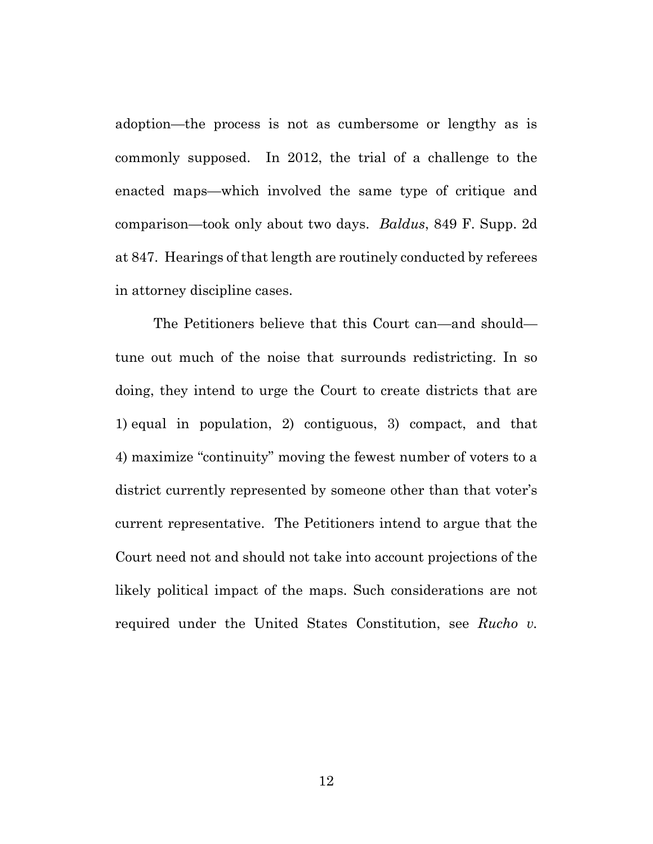adoption—the process is not as cumbersome or lengthy as is commonly supposed. In 2012, the trial of a challenge to the enacted maps—which involved the same type of critique and comparison—took only about two days. *Baldus*, 849 F. Supp. 2d at 847. Hearings of that length are routinely conducted by referees in attorney discipline cases.

The Petitioners believe that this Court can—and should tune out much of the noise that surrounds redistricting. In so doing, they intend to urge the Court to create districts that are 1) equal in population, 2) contiguous, 3) compact, and that 4) maximize "continuity" moving the fewest number of voters to a district currently represented by someone other than that voter's current representative. The Petitioners intend to argue that the Court need not and should not take into account projections of the likely political impact of the maps. Such considerations are not required under the United States Constitution, see *Rucho v.*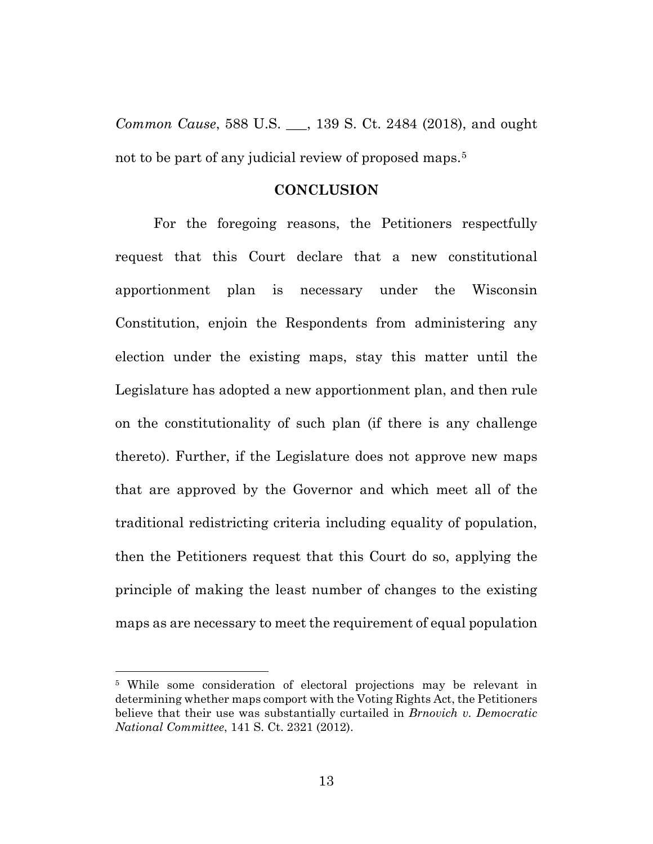*Common Cause*, 588 U.S. \_\_\_, 139 S. Ct. 2484 (2018), and ought not to be part of any judicial review of proposed maps.<sup>[5](#page-14-1)</sup>

#### **CONCLUSION**

<span id="page-14-0"></span>For the foregoing reasons, the Petitioners respectfully request that this Court declare that a new constitutional apportionment plan is necessary under the Wisconsin Constitution, enjoin the Respondents from administering any election under the existing maps, stay this matter until the Legislature has adopted a new apportionment plan, and then rule on the constitutionality of such plan (if there is any challenge thereto). Further, if the Legislature does not approve new maps that are approved by the Governor and which meet all of the traditional redistricting criteria including equality of population, then the Petitioners request that this Court do so, applying the principle of making the least number of changes to the existing maps as are necessary to meet the requirement of equal population

<span id="page-14-1"></span><sup>5</sup> While some consideration of electoral projections may be relevant in determining whether maps comport with the Voting Rights Act, the Petitioners believe that their use was substantially curtailed in *Brnovich v. Democratic National Committee*, 141 S. Ct. 2321 (2012).